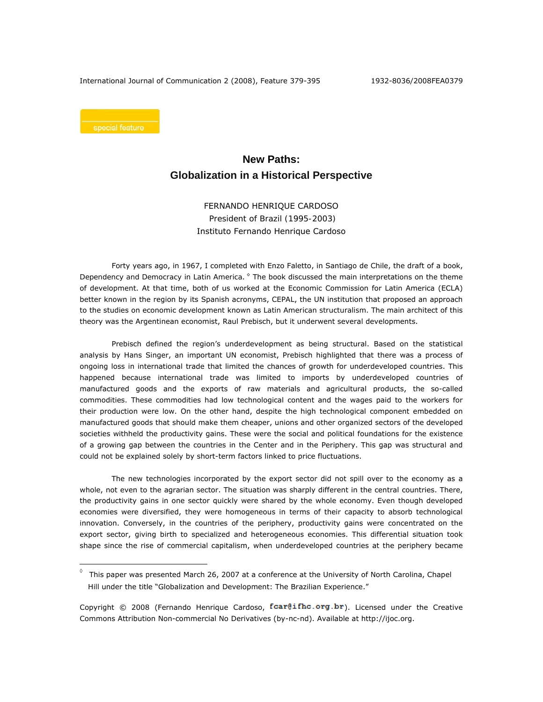# **New Paths: Globalization in a Historical Perspective**

FERNANDO HENRIQUE CARDOSO  *President of Brazil (1995-2003)*  Instituto Fernando Henrique Cardoso

Forty years ago, in 1967, I completed with Enzo Faletto, in Santiago de Chile, the draft of a book, *Dependency and Democracy in Latin America*. ◊ The book discussed the main interpretations on the theme of development. At that time, both of us worked at the Economic Commission for Latin America (ECLA) better known in the region by its Spanish acronyms, CEPAL, the UN institution that proposed an approach to the studies on economic development known as *Latin American structuralism*. The main architect of this theory was the Argentinean economist, Raul Prebisch, but it underwent several developments.

Prebisch defined the region's underdevelopment as being structural. Based on the statistical analysis by Hans Singer, an important UN economist, Prebisch highlighted that there was a process of ongoing loss in international trade that limited the chances of growth for underdeveloped countries. This happened because international trade was limited to imports by underdeveloped countries of manufactured goods and the exports of raw materials and agricultural products, the so-called commodities. These commodities had low technological content and the wages paid to the workers for their production were low. On the other hand, despite the high technological component embedded on manufactured goods that should make them cheaper, unions and other organized sectors of the developed societies withheld the productivity gains. These were the social and political foundations for the existence of a growing gap between the countries in the Center and in the Periphery. This gap was structural and could not be explained solely by short-term factors linked to price fluctuations.

The new technologies incorporated by the export sector did not spill over to the economy as a whole, not even to the agrarian sector. The situation was sharply different in the central countries. There, the productivity gains in one sector quickly were shared by the whole economy. Even though developed economies were diversified, they were homogeneous in terms of their capacity to absorb technological innovation. Conversely, in the countries of the periphery, productivity gains were concentrated on the export sector, giving birth to specialized and heterogeneous economies. This differential situation took shape since the rise of commercial capitalism, when underdeveloped countries at the periphery became

 $^{\circ}~$  This paper was presented March 26, 2007 at a conference at the University of North Carolina, Chapel Hill under the title "Globalization and Development: The Brazilian Experience."

Copyright  $\odot$  2008 (Fernando Henrique Cardoso,  $fcar@ifhc.org.br$ ). Licensed under the Creative Commons Attribution Non-commercial No Derivatives (by-nc-nd). Available at http://ijoc.org.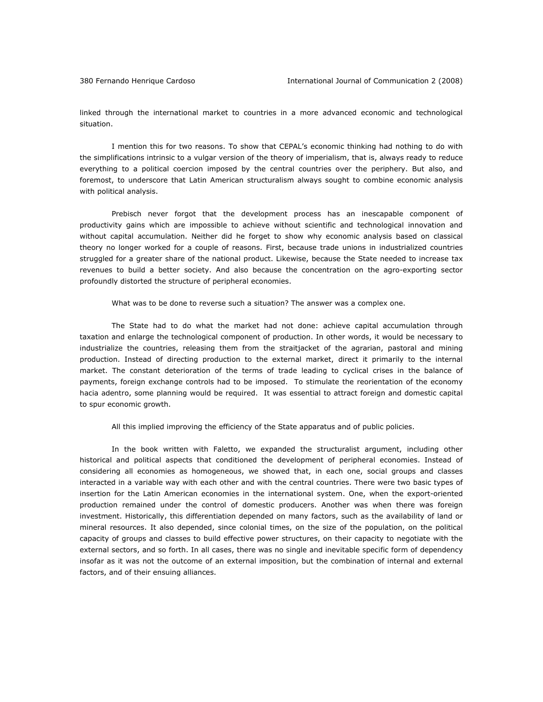linked through the international market to countries in a more advanced economic and technological situation.

I mention this for two reasons. To show that CEPAL's economic thinking had nothing to do with the simplifications intrinsic to a vulgar version of the theory of imperialism, that is, always ready to reduce everything to a political coercion imposed by the central countries over the periphery. But also, and foremost, to underscore that Latin American structuralism always sought to combine economic analysis with political analysis.

Prebisch never forgot that the development process has an inescapable component of productivity gains which are impossible to achieve without scientific and technological innovation and without capital accumulation. Neither did he forget to show why economic analysis based on classical theory no longer worked for a couple of reasons. First, because trade unions in industrialized countries struggled for a greater share of the national product. Likewise, because the State needed to increase tax revenues to build a better society. And also because the concentration on the agro-exporting sector profoundly distorted the structure of peripheral economies.

What was to be done to reverse such a situation? The answer was a complex one.

The State had to do what the market had not done: achieve capital accumulation through taxation and enlarge the technological component of production. In other words, it would be necessary to industrialize the countries, releasing them from the straitjacket of the agrarian, pastoral and mining production. Instead of directing production to the external market, direct it primarily to the internal market. The constant deterioration of the terms of trade leading to cyclical crises in the balance of payments, foreign exchange controls had to be imposed. To stimulate the reorientation of the economy *hacia adentro*, some planning would be required. It was essential to attract foreign and domestic capital to spur economic growth.

All this implied improving the efficiency of the State apparatus and of public policies.

In the book written with Faletto, we expanded the structuralist argument, including other historical and political aspects that conditioned the development of peripheral economies. Instead of considering all economies as homogeneous, we showed that, in each one, social groups and classes interacted in a variable way with each other and with the central countries. There were two basic types of insertion for the Latin American economies in the international system. One, when the export-oriented production remained under the control of domestic producers. Another was when there was foreign investment. Historically, this differentiation depended on many factors, such as the availability of land or mineral resources. It also depended, since colonial times, on the size of the population, on the political capacity of groups and classes to build effective power structures, on their capacity to negotiate with the external sectors, and so forth. In all cases, there was no *single and inevitable specific form of dependency*  insofar as it was not the outcome of an external imposition, but the combination of internal and external factors, and of their ensuing alliances.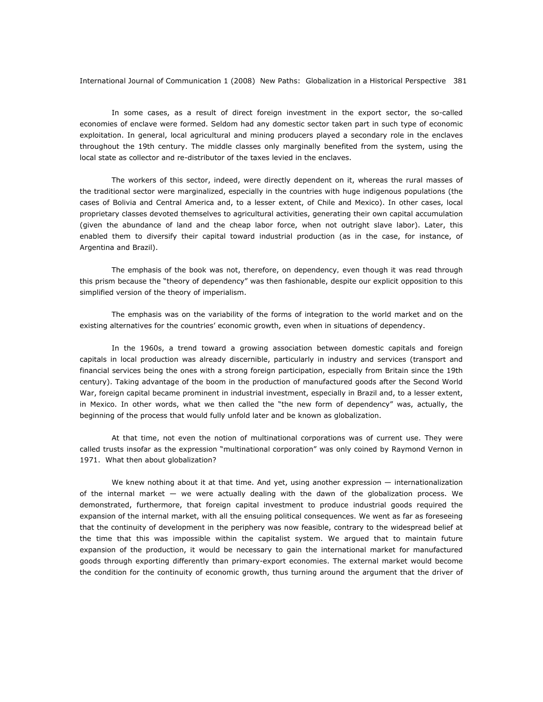In some cases, as a result of direct foreign investment in the export sector, the so-called economies of enclave were formed. Seldom had any domestic sector taken part in such type of economic exploitation. In general, local agricultural and mining producers played a secondary role in the enclaves throughout the 19th century. The middle classes only marginally benefited from the system, using the local state as collector and re-distributor of the taxes levied in the enclaves.

The workers of this sector, indeed, were directly dependent on it, whereas the rural masses of the traditional sector were marginalized, especially in the countries with huge indigenous populations (the cases of Bolivia and Central America and, to a lesser extent, of Chile and Mexico). In other cases, local proprietary classes devoted themselves to agricultural activities, generating their own capital accumulation (given the abundance of land and the cheap labor force, when not outright slave labor). Later, this enabled them to diversify their capital toward industrial production (as in the case, for instance, of Argentina and Brazil).

The emphasis of the book was not, therefore, on *dependency,* even though it was read through this prism because the "theory of dependency" was then fashionable, despite our explicit opposition to this simplified version of the theory of imperialism.

The emphasis was on the variability of the forms of integration to the world market and on the existing alternatives for the countries' economic growth, even when in situations of dependency.

In the 1960s, a trend toward a growing association between domestic capitals and foreign capitals in local production was already discernible, particularly in industry and services (transport and financial services being the ones with a strong foreign participation, especially from Britain since the 19th century). Taking advantage of the boom in the production of manufactured goods after the Second World War, foreign capital became prominent in industrial investment, especially in Brazil and, to a lesser extent, in Mexico. In other words, what we then called the "the new form of dependency" was, actually, the beginning of the process that would fully unfold later and be known as *globalization*.

At that time, not even the notion of multinational corporations was of current use. They were called trusts insofar as the expression "multinational corporation" was only coined by Raymond Vernon in 1971. What then about globalization?

We knew nothing about it at that time. And yet, using another expression — internationalization of the internal market — we were actually dealing with the dawn of the globalization process. We demonstrated, furthermore, that foreign capital investment to produce industrial goods required the expansion of the internal market, with all the ensuing political consequences. We went as far as foreseeing that the continuity of development in the periphery was now feasible, contrary to the widespread belief at the time that this was impossible within the capitalist system. We argued that to maintain future expansion of the production, it would be necessary to gain the international market for manufactured goods through exporting differently than primary-export economies. The external market would become the condition for the continuity of economic growth, thus turning around the argument that the driver of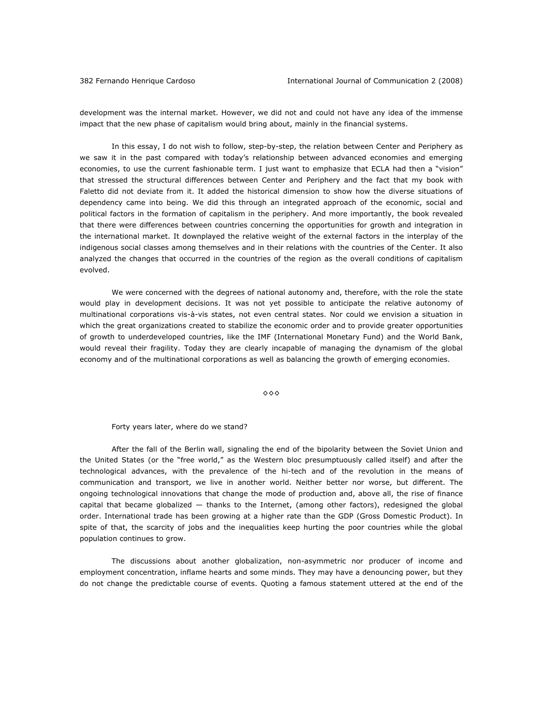development was the internal market. However, we did not and could not have any idea of the immense impact that the new phase of capitalism would bring about, mainly in the financial systems.

In this essay, I do not wish to follow, step-by-step, the relation between Center and Periphery as we saw it in the past compared with today's relationship between advanced economies and emerging economies, to use the current fashionable term. I just want to emphasize that ECLA had then a "vision" that stressed the structural differences between Center and Periphery and the fact that my book with Faletto did not deviate from it. It added the historical dimension to show how the diverse situations of dependency came into being. We did this through an integrated approach of the economic, social and political factors in the formation of capitalism in the periphery. And more importantly, the book revealed that there were differences between countries concerning the opportunities for growth and integration in the international market. It downplayed the relative weight of the external factors in the interplay of the indigenous social classes among themselves and in their relations with the countries of the Center. It also analyzed the changes that occurred in the countries of the region as the overall conditions of capitalism evolved.

We were concerned with the degrees of national autonomy and, therefore, with the role the state would play in development decisions. It was not yet possible to anticipate the relative autonomy of multinational corporations vis-à-vis states, not even central states. Nor could we envision a situation in which the great organizations created to stabilize the economic order and to provide greater opportunities of growth to underdeveloped countries, like the IMF (International Monetary Fund) and the World Bank, would reveal their fragility. Today they are clearly incapable of managing the dynamism of the global economy and of the multinational corporations as well as balancing the growth of emerging economies.

◊◊◊

## Forty years later, where do we stand?

After the fall of the Berlin wall, signaling the end of the bipolarity between the Soviet Union and the United States (or the "free world," as the Western bloc presumptuously called itself) and after the technological advances, with the prevalence of the hi-tech and of the revolution in the means of communication and transport, we live in another world. Neither better nor worse, but different. The ongoing technological innovations that change the mode of production and, above all, the rise of finance capital that became globalized — thanks to the Internet, (among other factors), redesigned the global order. International trade has been growing at a higher rate than the GDP (Gross Domestic Product). In spite of that, the scarcity of jobs and the inequalities keep hurting the poor countries while the global population continues to grow.

The discussions about *another globalization*, non-asymmetric nor producer of income and employment concentration, inflame hearts and some minds. They may have a denouncing power, but they do not change the predictable course of events. Quoting a famous statement uttered at the end of the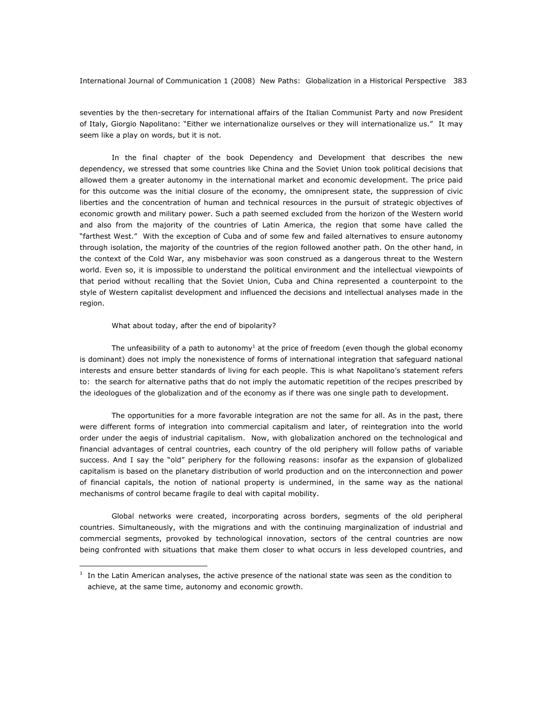seventies by the then-secretary for international affairs of the Italian Communist Party and now President of Italy, Giorgio Napolitano: "Either we internationalize ourselves or they will internationalize us." It may seem like a play on words, but it is not.

In the final chapter of the book *Dependency and Development* that describes the new dependency, we stressed that some countries like China and the Soviet Union took political decisions that allowed them a greater autonomy in the international market and economic development. The price paid for this outcome was the initial closure of the economy, the omnipresent state, the suppression of civic liberties and the concentration of human and technical resources in the pursuit of strategic objectives of economic growth and military power. Such a path seemed excluded from the horizon of the Western world and also from the majority of the countries of Latin America, the region that some have called the "farthest West." With the exception of Cuba and of some few and failed alternatives to ensure autonomy through isolation, the majority of the countries of the region followed another path. On the other hand, in the context of the Cold War, any misbehavior was soon construed as a dangerous threat to the Western world. Even so, it is impossible to understand the political environment and the intellectual viewpoints of that period without recalling that the Soviet Union, Cuba and China represented a counterpoint to the style of Western capitalist development and influenced the decisions and intellectual analyses made in the region.

## What about today, after the end of bipolarity?

 $\overline{a}$ 

The unfeasibility of a path to autonomy<sup>1</sup> at the price of freedom (even though the global economy is dominant) does not imply the nonexistence of forms of international integration that safeguard national interests and ensure better standards of living for each people. This is what Napolitano's statement refers to: the search for alternative paths that do not imply the automatic repetition of the recipes prescribed by the ideologues of the globalization and of the economy as if there was one single path to development.

The opportunities for a more favorable integration are not the same for all. As in the past, there were different forms of integration into commercial capitalism and later, of reintegration into the world order under the aegis of industrial capitalism. Now, with globalization anchored on the technological and financial advantages of central countries, each country of the old periphery will follow paths of variable success. And I say the "old" periphery for the following reasons: insofar as the expansion of globalized capitalism is based on the planetary distribution of world production and on the interconnection and power of financial capitals, the notion of *national property* is undermined, in the same way as the national mechanisms of control became fragile to deal with capital mobility.

Global networks were created, incorporating across borders, segments of the old peripheral countries. Simultaneously, with the migrations and with the continuing marginalization of industrial and commercial segments, provoked by technological innovation, sectors of the central countries are now being confronted with situations that make them closer to what occurs in less developed countries, and

 $<sup>1</sup>$  In the Latin American analyses, the active presence of the national state was seen as the condition to</sup> achieve, at the same time, autonomy and economic growth.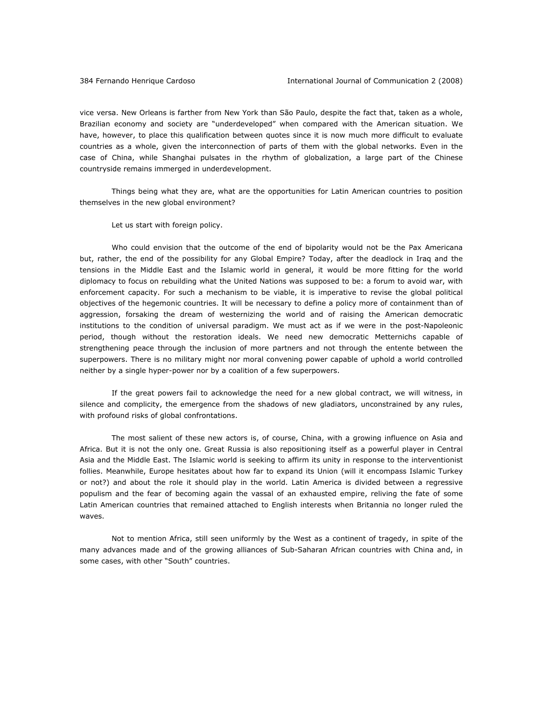vice versa. New Orleans is farther from New York than São Paulo, despite the fact that, taken as a whole, Brazilian economy and society are "underdeveloped" when compared with the American situation. We have, however, to place this qualification between quotes since it is now much more difficult to evaluate countries as a whole, given the interconnection of parts of them with the global networks. Even in the case of China, while Shanghai pulsates in the rhythm of globalization, a large part of the Chinese countryside remains immerged in underdevelopment.

Things being what they are, what are the opportunities for Latin American countries to position themselves in the new global environment?

Let us start with foreign policy.

Who could envision that the outcome of the end of bipolarity would not be the Pax Americana but, rather, the end of the possibility for any Global Empire? Today, after the deadlock in Iraq and the tensions in the Middle East and the Islamic world in general, it would be more fitting for the world diplomacy to focus on rebuilding what the United Nations was supposed to be: a forum to avoid war, with enforcement capacity. For such a mechanism to be viable, it is imperative to revise the global political objectives of the hegemonic countries. It will be necessary to define a policy more of containment than of aggression, forsaking the dream of westernizing the world and of raising the American democratic institutions to the condition of universal paradigm. We must act as if we were in the post-Napoleonic period, though without the restoration ideals. We need new democratic Metternichs capable of strengthening peace through the inclusion of more partners and not through the *entente* between the superpowers. There is no military might nor moral convening power capable of uphold a world controlled neither by a single hyper-power nor by a coalition of a few superpowers.

If the great powers fail to acknowledge the need for a new global contract, we will witness, in silence and complicity, the emergence from the shadows of new gladiators, unconstrained by any rules, with profound risks of global confrontations.

The most salient of these new actors is, of course, China, with a growing influence on Asia and Africa. But it is not the only one. Great Russia is also repositioning itself as a powerful player in Central Asia and the Middle East. The Islamic world is seeking to affirm its unity in response to the interventionist follies. Meanwhile, Europe hesitates about how far to expand its Union (will it encompass Islamic Turkey or not?) and about the role it should play in the world. Latin America is divided between a regressive populism and the fear of becoming again the vassal of an exhausted empire, reliving the fate of some Latin American countries that remained attached to English interests when Britannia no longer ruled the waves.

Not to mention Africa, still seen uniformly by the West as a continent of tragedy, in spite of the many advances made and of the growing alliances of Sub-Saharan African countries with China and, in some cases, with other "South" countries.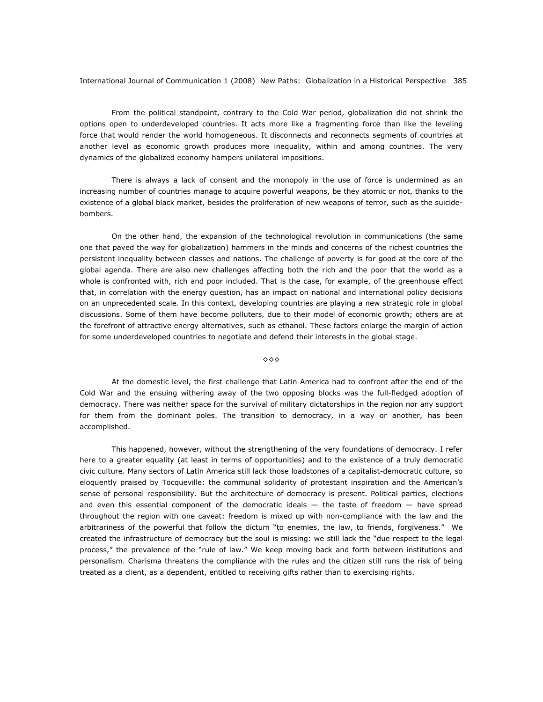From the political standpoint, contrary to the Cold War period, globalization did not shrink the options open to underdeveloped countries. It acts more like a fragmenting force than like the leveling force that would render the world homogeneous. It disconnects and reconnects segments of countries at another level as economic growth produces more inequality, within and among countries. The very dynamics of the globalized economy hampers unilateral impositions.

There is always a lack of consent and the monopoly in the use of force is undermined as an increasing number of countries manage to acquire powerful weapons, be they atomic or not, thanks to the existence of a global black market, besides the proliferation of new weapons of terror, such as the suicidebombers.

On the other hand, the expansion of the technological revolution in communications (the same one that paved the way for globalization) hammers in the minds and concerns of the richest countries the persistent inequality between classes and nations. The challenge of poverty is for good at the core of the global agenda. There are also new challenges affecting both the rich and the poor that the world as a whole is confronted with, rich and poor included. That is the case, for example, of the greenhouse effect that, in correlation with the energy question, has an impact on national and international policy decisions on an unprecedented scale. In this context, developing countries are playing a new strategic role in global discussions. Some of them have become polluters, due to their model of economic growth; others are at the forefront of attractive energy alternatives, such as ethanol. These factors enlarge the margin of action for some underdeveloped countries to negotiate and defend their interests in the global stage.

#### ◊◊◊

At the domestic level, the first challenge that Latin America had to confront after the end of the Cold War and the ensuing withering away of the two opposing blocks was the full-fledged adoption of democracy. There was neither space for the survival of military dictatorships in the region nor any support for them from the dominant poles. The transition to democracy, in a way or another, has been accomplished.

This happened, however, without the strengthening of the very foundations of democracy. I refer here to a greater equality (at least in terms of opportunities) and to the existence of a truly democratic civic culture. Many sectors of Latin America still lack those loadstones of a capitalist-democratic culture, so eloquently praised by Tocqueville: the communal solidarity of protestant inspiration and the American's sense of personal responsibility. But the architecture of democracy is present. Political parties, elections and even this essential component of the democratic ideals — the taste of freedom — have spread throughout the region with one caveat: freedom is mixed up with non-compliance with the law and the arbitrariness of the powerful that follow the dictum "to enemies, the law, to friends, forgiveness." We created the infrastructure of democracy but the soul is missing: we still lack the "due respect to the legal process," the prevalence of the "rule of law." We keep moving back and forth between institutions and personalism. Charisma threatens the compliance with the rules and the citizen still runs the risk of being treated as a client, as a dependent, entitled to receiving gifts rather than to exercising rights.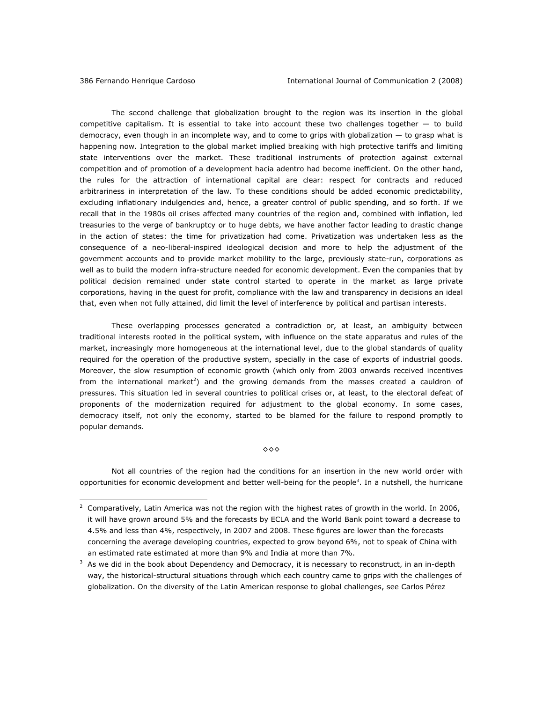The second challenge that globalization brought to the region was its insertion in the global competitive capitalism. It is essential to take into account these two challenges together — to build democracy, even though in an incomplete way, and to come to grips with globalization — to grasp what is happening now. Integration to the global market implied breaking with high protective tariffs and limiting state interventions over the market. These traditional instruments of protection against external competition and of promotion of a development *hacia adentro* had become inefficient. On the other hand, the rules for the attraction of international capital are clear: respect for contracts and reduced arbitrariness in interpretation of the law. To these conditions should be added economic predictability, excluding inflationary indulgencies and, hence, a greater control of public spending, and so forth. If we recall that in the 1980s oil crises affected many countries of the region and, combined with inflation, led treasuries to the verge of bankruptcy or to huge debts, we have another factor leading to drastic change in the action of states: the time for privatization had come. Privatization was undertaken less as the consequence of a neo-liberal-inspired ideological decision and more to help the adjustment of the government accounts and to provide market mobility to the large, previously state-run, corporations as well as to build the modern infra-structure needed for economic development. Even the companies that by political decision remained under state control started to operate in the market as large private corporations, having in the quest for profit, compliance with the law and transparency in decisions an ideal that, even when not fully attained, did limit the level of interference by political and partisan interests.

These overlapping processes generated a contradiction or, at least, an ambiguity between traditional interests rooted in the political system, with influence on the state apparatus and rules of the market, increasingly more homogeneous at the international level, due to the global standards of quality required for the operation of the productive system, specially in the case of exports of industrial goods. Moreover, the slow resumption of economic growth (which only from 2003 onwards received incentives from the international market<sup>2</sup>) and the growing demands from the masses created a cauldron of pressures. This situation led in several countries to political crises or, at least, to the electoral defeat of proponents of the modernization required for adjustment to the global economy. In some cases, democracy itself, not only the economy, started to be blamed for the failure to respond promptly to popular demands.

## ◊◊◊

Not all countries of the region had the conditions for an insertion in the new world order with opportunities for economic development and better well-being for the people<sup>3</sup>. In a nutshell, the hurricane

<sup>&</sup>lt;sup>2</sup> Comparatively, Latin America was not the region with the highest rates of growth in the world. In 2006, it will have grown around 5% and the forecasts by ECLA and the World Bank point toward a decrease to 4.5% and less than 4%, respectively, in 2007 and 2008. These figures are lower than the forecasts concerning the average developing countries, expected to grow beyond 6%, not to speak of China with an estimated rate estimated at more than 9% and India at more than 7%.

<sup>3</sup> As we did in the book about *Dependency and Democracy*, it is necessary to reconstruct, in an in-depth way, the historical-structural situations through which each country came to grips with the challenges of globalization. On the diversity of the Latin American response to global challenges, see Carlos Pérez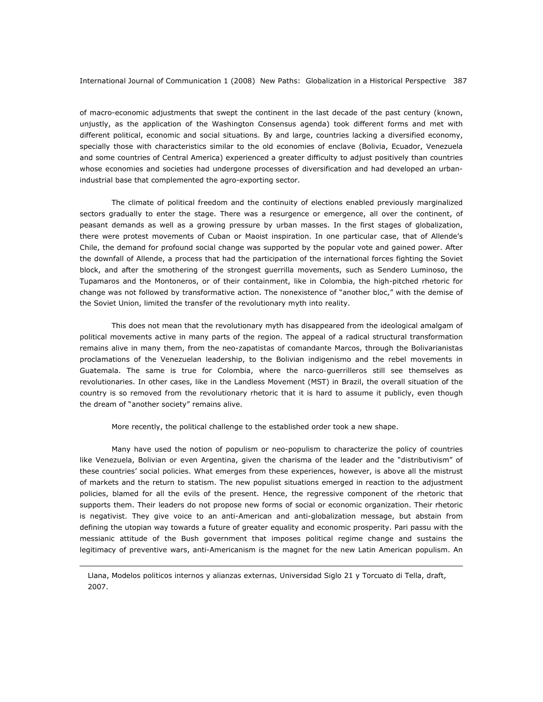of macro-economic adjustments that swept the continent in the last decade of the past century (known, unjustly, as the application of the Washington Consensus agenda) took different forms and met with different political, economic and social situations. By and large, countries lacking a diversified economy, specially those with characteristics similar to the old economies of enclave (Bolivia, Ecuador, Venezuela and some countries of Central America) experienced a greater difficulty to adjust positively than countries whose economies and societies had undergone processes of diversification and had developed an urbanindustrial base that complemented the agro-exporting sector.

The climate of political freedom and the continuity of elections enabled previously marginalized sectors gradually to enter the stage. There was a resurgence or emergence, all over the continent, of peasant demands as well as a growing pressure by urban masses. In the first stages of globalization, there were protest movements of Cuban or Maoist inspiration. In one particular case, that of Allende's Chile, the demand for profound social change was supported by the popular vote and gained power. After the downfall of Allende, a process that had the participation of the international forces fighting the Soviet block, and after the smothering of the strongest guerrilla movements, such as Sendero Luminoso, the Tupamaros and the Montoneros, or of their containment, like in Colombia, the high-pitched rhetoric for change was not followed by transformative action. The nonexistence of "another bloc," with the demise of the Soviet Union, limited the transfer of the revolutionary myth into reality.

This does not mean that the revolutionary myth has disappeared from the ideological amalgam of political movements active in many parts of the region. The appeal of a radical structural transformation remains alive in many them, from the neo-*zapatistas* of *comandante* Marcos, through the Bolivarianistas proclamations of the Venezuelan leadership, to the Bolivian *indigenismo* and the rebel movements in Guatemala. The same is true for Colombia, where the *narco-guerrilleros* still see themselves as revolutionaries. In other cases, like in the Landless Movement (MST) in Brazil, the overall situation of the country is so removed from the revolutionary rhetoric that it is hard to assume it publicly, even though the dream of "another society" remains alive.

More recently, the political challenge to the established order took a new shape.

Many have used the notion of populism or neo-populism to characterize the policy of countries like Venezuela, Bolivian or even Argentina, given the charisma of the leader and the "distributivism" of these countries' social policies. What emerges from these experiences, however, is above all the mistrust of markets and the return to statism. The new populist situations emerged in reaction to the adjustment policies, blamed for all the evils of the present. Hence, the regressive component of the rhetoric that supports them. Their leaders do not propose new forms of social or economic organization. Their rhetoric is negativist. They give voice to an anti-American and anti-globalization message, but abstain from defining the utopian way towards a future of greater equality and economic prosperity. Pari passu with the messianic attitude of the Bush government that imposes political regime change and sustains the legitimacy of preventive wars, anti-Americanism is the magnet for the new Latin American populism. An

 $\overline{a}$ 

Llana, *Modelos politicos internos y alianzas externas,* Universidad Siglo 21 y Torcuato di Tella, draft, 2007.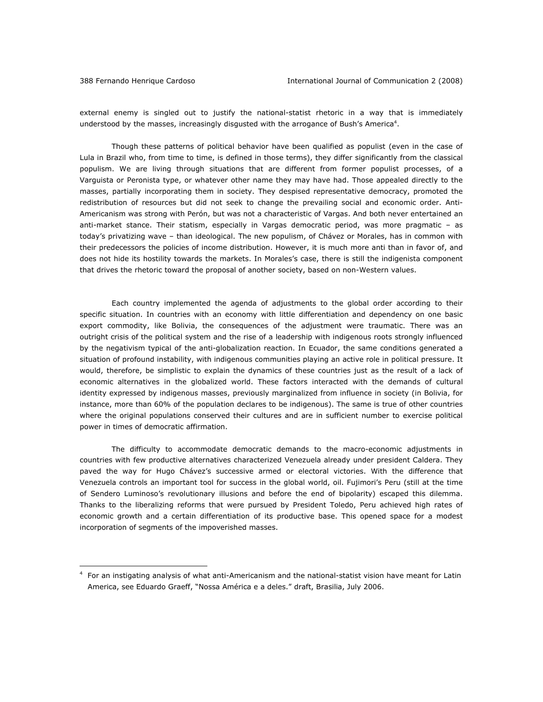external enemy is singled out to justify the national-statist rhetoric in a way that is immediately understood by the masses, increasingly disgusted with the arrogance of Bush's America<sup>4</sup>.

Though these patterns of political behavior have been qualified as populist (even in the case of Lula in Brazil who, from time to time, is defined in those terms), they differ significantly from the classical populism. We are living through situations that are different from former populist processes, of a Varguista or Peronista type, or whatever other name they may have had. Those appealed directly to the masses, partially incorporating them in society. They despised representative democracy, promoted the redistribution of resources but did not seek to change the prevailing social and economic order. Anti-Americanism was strong with Perón, but was not a characteristic of Vargas. And both never entertained an anti-market stance. Their statism, especially in Vargas democratic period, was more pragmatic – as today's privatizing wave – than ideological. The new populism, of Chávez or Morales, has in common with their predecessors the policies of income distribution. However, it is much more anti than in favor of, and does not hide its hostility towards the markets. In Morales's case, there is still the *indigenista* component that drives the rhetoric toward the proposal of another society, based on non-Western values.

Each country implemented the agenda of adjustments to the global order according to their specific situation. In countries with an economy with little differentiation and dependency on one basic export commodity, like Bolivia, the consequences of the adjustment were traumatic. There was an outright crisis of the political system and the rise of a leadership with indigenous roots strongly influenced by the negativism typical of the anti-globalization reaction. In Ecuador, the same conditions generated a situation of profound instability, with indigenous communities playing an active role in political pressure. It would, therefore, be simplistic to explain the dynamics of these countries just as the result of a lack of economic alternatives in the globalized world. These factors interacted with the demands of cultural identity expressed by indigenous masses, previously marginalized from influence in society (in Bolivia, for instance, more than 60% of the population declares to be indigenous). The same is true of other countries where the original populations conserved their cultures and are in sufficient number to exercise political power in times of democratic affirmation.

The difficulty to accommodate democratic demands to the macro-economic adjustments in countries with few productive alternatives characterized Venezuela already under president Caldera. They paved the way for Hugo Chávez's successive armed or electoral victories. With the difference that Venezuela controls an important tool for success in the global world, oil. Fujimori's Peru (still at the time of Sendero Luminoso's revolutionary illusions and before the end of bipolarity) escaped this dilemma. Thanks to the liberalizing reforms that were pursued by President Toledo, Peru achieved high rates of economic growth and a certain differentiation of its productive base. This opened space for a modest incorporation of segments of the impoverished masses.

<sup>4</sup> For an instigating analysis of what anti-Americanism and the national-statist vision have meant for Latin America, see Eduardo Graeff, "Nossa América e a deles." draft, Brasilia, July 2006.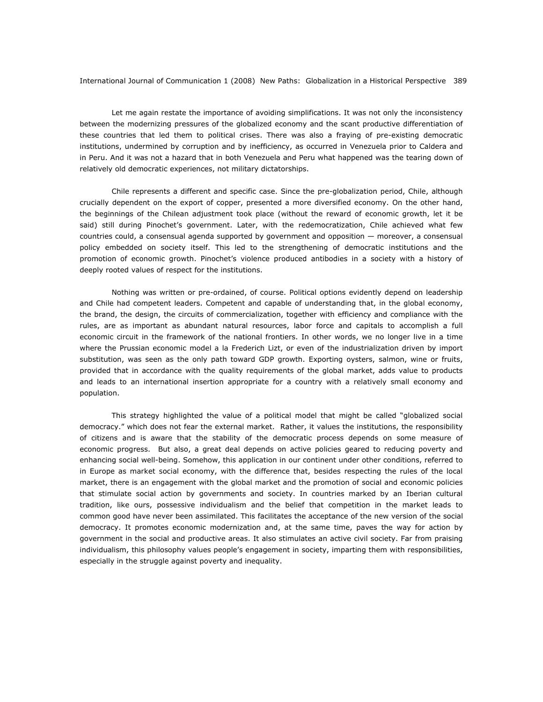Let me again restate the importance of avoiding simplifications. It was not only the inconsistency between the modernizing pressures of the globalized economy and the scant productive differentiation of these countries that led them to political crises. There was also a fraying of pre-existing democratic institutions, undermined by corruption and by inefficiency, as occurred in Venezuela prior to Caldera and in Peru. And it was not a hazard that in both Venezuela and Peru what happened was the tearing down of relatively old democratic experiences, not military dictatorships.

Chile represents a different and specific case. Since the pre-globalization period, Chile, although crucially dependent on the export of copper, presented a more diversified economy. On the other hand, the beginnings of the Chilean adjustment took place (without the reward of economic growth, let it be said) still during Pinochet's government. Later, with the redemocratization, Chile achieved what few countries could, a consensual agenda supported by government and opposition — moreover, a consensual policy embedded on society itself. This led to the strengthening of democratic institutions and the promotion of economic growth. Pinochet's violence produced antibodies in a society with a history of deeply rooted values of respect for the institutions.

Nothing was written or pre-ordained, of course. Political options evidently depend on leadership and Chile had competent leaders. Competent and capable of understanding that, in the global economy, the brand, the design, the circuits of commercialization, together with efficiency and compliance with the rules, are as important as abundant natural resources, labor force and capitals to accomplish a full economic circuit in the framework of the national frontiers. In other words, we no longer live in a time where the Prussian economic model *a la* Frederich Lizt, or even of the industrialization driven by import substitution, was seen as the only path toward GDP growth. Exporting oysters, salmon, wine or fruits, provided that in accordance with the quality requirements of the global market, adds value to products and leads to an international insertion appropriate for a country with a relatively small economy and population.

This strategy highlighted the value of a political model that might be called "globalized social democracy." which does not fear the external market. Rather, it values the institutions, the responsibility of citizens and is aware that the stability of the democratic process depends on some measure of economic progress. But also, a great deal depends on active policies geared to reducing poverty and enhancing social well-being. Somehow, this application in our continent under other conditions, referred to in Europe as *market social economy*, with the difference that, besides respecting the rules of the local market, there is an engagement with the global market and the promotion of social and economic policies that stimulate social action by governments and society. In countries marked by an Iberian cultural tradition, like ours, possessive individualism and the belief that competition in the market leads to common good have never been assimilated. This facilitates the acceptance of the new version of the social democracy. It promotes economic modernization and, at the same time, paves the way for action by government in the social and productive areas. It also stimulates an active civil society. Far from praising individualism, this philosophy values people's engagement in society, imparting them with responsibilities, especially in the struggle against poverty and inequality.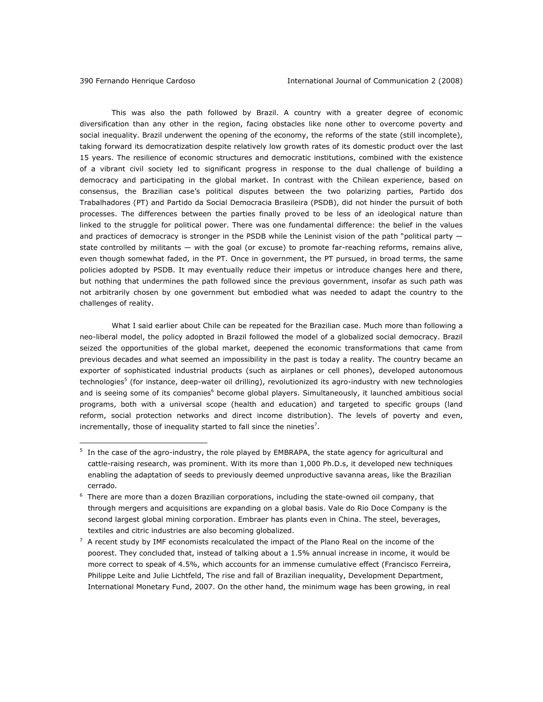This was also the path followed by Brazil. A country with a greater degree of economic diversification than any other in the region, facing obstacles like none other to overcome poverty and social inequality. Brazil underwent the opening of the economy, the reforms of the state (still incomplete), taking forward its democratization despite relatively low growth rates of its domestic product over the last 15 years. The resilience of economic structures and democratic institutions, combined with the existence of a vibrant civil society led to significant progress in response to the dual challenge of building a democracy and participating in the global market. In contrast with the Chilean experience, based on consensus, the Brazilian case's political disputes between the two polarizing parties, Partido dos Trabalhadores (PT) and Partido da Social Democracia Brasileira (PSDB), did not hinder the pursuit of both processes. The differences between the parties finally proved to be less of an ideological nature than linked to the struggle for political power. There was one fundamental difference: the belief in the values and practices of democracy is stronger in the PSDB while the Leninist vision of the path "political party  $$ state controlled by militants — with the goal (or excuse) to promote far-reaching reforms, remains alive, even though somewhat faded, in the PT. Once in government, the PT pursued, in broad terms, the same policies adopted by PSDB. It may eventually reduce their impetus or introduce changes here and there, but nothing that undermines the path followed since the previous government, insofar as such path was not arbitrarily chosen by one government but embodied what was needed to adapt the country to the challenges of reality.

What I said earlier about Chile can be repeated for the Brazilian case. Much more than following a neo-liberal model, the policy adopted in Brazil followed the model of a globalized social democracy. Brazil seized the opportunities of the global market, deepened the economic transformations that came from previous decades and what seemed an impossibility in the past is today a reality. The country became an exporter of sophisticated industrial products (such as airplanes or cell phones), developed autonomous technologies<sup>5</sup> (for instance, deep-water oil drilling), revolutionized its agro-industry with new technologies and is seeing some of its companies<sup>6</sup> become global players. Simultaneously, it launched ambitious social programs, both with a universal scope (health and education) and targeted to specific groups (land reform, social protection networks and direct income distribution). The levels of poverty and even, incrementally, those of inequality started to fall since the nineties<sup>7</sup>.

 $5\,$  In the case of the agro-industry, the role played by EMBRAPA, the state agency for agricultural and cattle-raising research, was prominent. With its more than 1,000 Ph.D.s, it developed new techniques enabling the adaptation of seeds to previously deemed unproductive savanna areas, like the Brazilian cerrado.

 $6$  There are more than a dozen Brazilian corporations, including the state-owned oil company, that through mergers and acquisitions are expanding on a global basis. Vale do Rio Doce Company is the second largest global mining corporation. Embraer has plants even in China. The steel, beverages, textiles and citric industries are also becoming globalized.

<sup>7</sup> A recent study by IMF economists recalculated the impact of the *Plano Real* on the income of the poorest. They concluded that, instead of talking about a 1.5% annual increase in income, it would be more correct to speak of 4.5%, which accounts for an immense cumulative effect (Francisco Ferreira, Philippe Leite and Julie Lichtfeld, *The rise and fall of Brazilian inequality*, Development Department, International Monetary Fund, 2007. On the other hand, the minimum wage has been growing, in real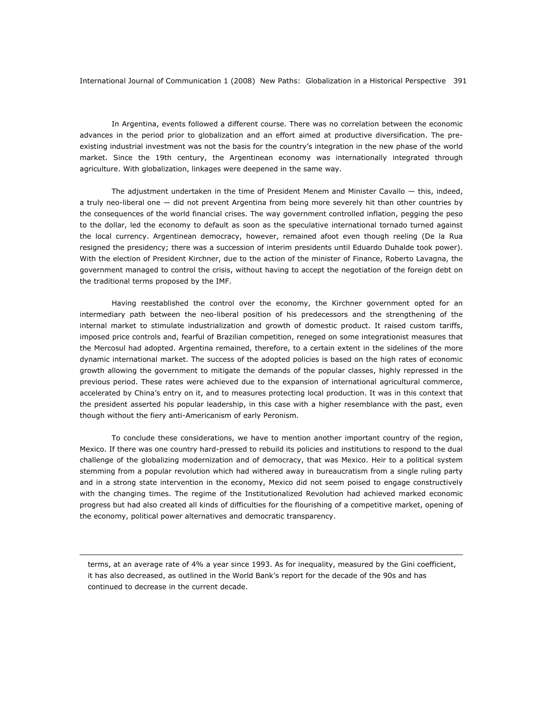In Argentina, events followed a different course. There was no correlation between the economic advances in the period prior to globalization and an effort aimed at productive diversification. The preexisting industrial investment was not the basis for the country's integration in the new phase of the world market. Since the 19th century, the Argentinean economy was internationally integrated through agriculture. With globalization, linkages were deepened in the same way.

The adjustment undertaken in the time of President Menem and Minister Cavallo — this, indeed, a truly neo-liberal one — did not prevent Argentina from being more severely hit than other countries by the consequences of the world financial crises. The way government controlled inflation, pegging the peso to the dollar, led the economy to default as soon as the speculative international tornado turned against the local currency. Argentinean democracy, however, remained afoot even though reeling (De la Rua resigned the presidency; there was a succession of interim presidents until Eduardo Duhalde took power). With the election of President Kirchner, due to the action of the minister of Finance, Roberto Lavagna, the government managed to control the crisis, without having to accept the negotiation of the foreign debt on the traditional terms proposed by the IMF.

Having reestablished the control over the economy, the Kirchner government opted for an intermediary path between the neo-liberal position of his predecessors and the strengthening of the internal market to stimulate industrialization and growth of domestic product. It raised custom tariffs, imposed price controls and, fearful of Brazilian competition, reneged on some integrationist measures that the Mercosul had adopted. Argentina remained, therefore, to a certain extent in the sidelines of the more dynamic international market. The success of the adopted policies is based on the high rates of economic growth allowing the government to mitigate the demands of the popular classes, highly repressed in the previous period. These rates were achieved due to the expansion of international agricultural commerce, accelerated by China's entry on it, and to measures protecting local production. It was in this context that the president asserted his popular leadership, in this case with a higher resemblance with the past, even though without the fiery anti-Americanism of early Peronism.

To conclude these considerations, we have to mention another important country of the region, Mexico. If there was one country hard-pressed to rebuild its policies and institutions to respond to the dual challenge of the globalizing modernization and of democracy, that was Mexico. Heir to a political system stemming from a popular revolution which had withered away in bureaucratism from a single ruling party and in a strong state intervention in the economy, Mexico did not seem poised to engage constructively with the changing times. The regime of the Institutionalized Revolution had achieved marked economic progress but had also created all kinds of difficulties for the flourishing of a competitive market, opening of the economy, political power alternatives and democratic transparency.

terms, at an average rate of 4% a year since 1993. As for inequality, measured by the Gini coefficient, it has also decreased, as outlined in the World Bank's report for the decade of the 90s and has continued to decrease in the current decade.

 $\overline{a}$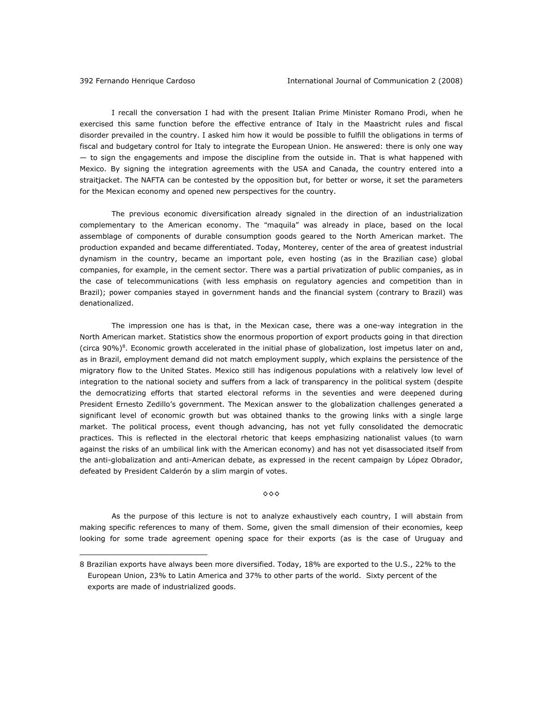I recall the conversation I had with the present Italian Prime Minister Romano Prodi, when he exercised this same function before the effective entrance of Italy in the Maastricht rules and fiscal disorder prevailed in the country. I asked him how it would be possible to fulfill the obligations in terms of fiscal and budgetary control for Italy to integrate the European Union. He answered: there is only one way — to sign the engagements and impose the discipline from the outside in. That is what happened with Mexico. By signing the integration agreements with the USA and Canada, the country entered into a straitjacket. The NAFTA can be contested by the opposition but, for better or worse, it set the parameters for the Mexican economy and opened new perspectives for the country.

The previous economic diversification already signaled in the direction of an industrialization complementary to the American economy. The *"maquila*" was already in place, based on the local assemblage of components of durable consumption goods geared to the North American market. The production expanded and became differentiated. Today, Monterey, center of the area of greatest industrial dynamism in the country, became an important pole, even hosting (as in the Brazilian case) global companies, for example, in the cement sector. There was a partial privatization of public companies, as in the case of telecommunications (with less emphasis on regulatory agencies and competition than in Brazil); power companies stayed in government hands and the financial system (contrary to Brazil) was denationalized.

The impression one has is that, in the Mexican case, there was a one-way integration in the North American market. Statistics show the enormous proportion of export products going in that direction (circa 90%)<sup>8</sup>. Economic growth accelerated in the initial phase of globalization, lost impetus later on and, as in Brazil, employment demand did not match employment supply, which explains the persistence of the migratory flow to the United States. Mexico still has indigenous populations with a relatively low level of integration to the national society and suffers from a lack of transparency in the political system (despite the democratizing efforts that started electoral reforms in the seventies and were deepened during President Ernesto Zedillo's government. The Mexican answer to the globalization challenges generated a significant level of economic growth but was obtained thanks to the growing links with a single large market. The political process, event though advancing, has not yet fully consolidated the democratic practices. This is reflected in the electoral rhetoric that keeps emphasizing nationalist values (to warn against the risks of an umbilical link with the American economy) and has not yet disassociated itself from the anti-globalization and anti-American debate, as expressed in the recent campaign by López Obrador, defeated by President Calderón by a slim margin of votes.

#### ◊◊◊

As the purpose of this lecture is not to analyze exhaustively each country, I will abstain from making specific references to many of them. Some, given the small dimension of their economies, keep looking for some trade agreement opening space for their exports (as is the case of Uruguay and

<sup>8</sup> Brazilian exports have always been more diversified. Today, 18% are exported to the U.S., 22% to the European Union, 23% to Latin America and 37% to other parts of the world. Sixty percent of the exports are made of industrialized goods.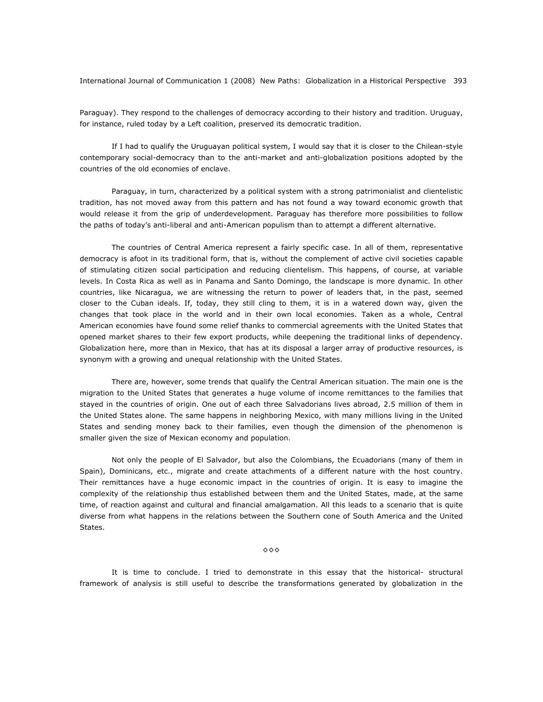Paraguay). They respond to the challenges of democracy according to their history and tradition. Uruguay, for instance, ruled today by a Left coalition, preserved its democratic tradition.

If I had to qualify the Uruguayan political system, I would say that it is closer to the Chilean-style contemporary social-democracy than to the anti-market and anti-globalization positions adopted by the countries of the old economies of enclave.

Paraguay, in turn, characterized by a political system with a strong patrimonialist and clientelistic tradition, has not moved away from this pattern and has not found a way toward economic growth that would release it from the grip of underdevelopment. Paraguay has therefore more possibilities to follow the paths of today's anti-liberal and anti-American populism than to attempt a different alternative.

The countries of Central America represent a fairly specific case. In all of them, representative democracy is afoot in its traditional form, that is, without the complement of active civil societies capable of stimulating citizen social participation and reducing clientelism. This happens, of course, at variable levels. In Costa Rica as well as in Panama and Santo Domingo, the landscape is more dynamic. In other countries, like Nicaragua, we are witnessing the return to power of leaders that, in the past, seemed closer to the Cuban ideals. If, today, they still cling to them, it is in a watered down way, given the changes that took place in the world and in their own local economies. Taken as a whole, Central American economies have found some relief thanks to commercial agreements with the United States that opened market shares to their few export products, while deepening the traditional links of dependency. Globalization here, more than in Mexico, that has at its disposal a larger array of productive resources, is synonym with a growing and unequal relationship with the United States.

There are, however, some trends that qualify the Central American situation. The main one is the migration to the United States that generates a huge volume of income remittances to the families that stayed in the countries of origin. One out of each three Salvadorians lives abroad, 2.5 million of them in the United States alone. The same happens in neighboring Mexico, with many millions living in the United States and sending money back to their families, even though the dimension of the phenomenon is smaller given the size of Mexican economy and population.

Not only the people of El Salvador, but also the Colombians, the Ecuadorians (many of them in Spain), Dominicans, etc., migrate and create attachments of a different nature with the host country. Their remittances have a huge economic impact in the countries of origin. It is easy to imagine the complexity of the relationship thus established between them and the United States, made, at the same time, of reaction against and cultural and financial amalgamation. All this leads to a scenario that is quite diverse from what happens in the relations between the Southern cone of South America and the United States.

# ◊◊◊

It is time to conclude. I tried to demonstrate in this essay that the historical- structural framework of analysis is still useful to describe the transformations generated by globalization in the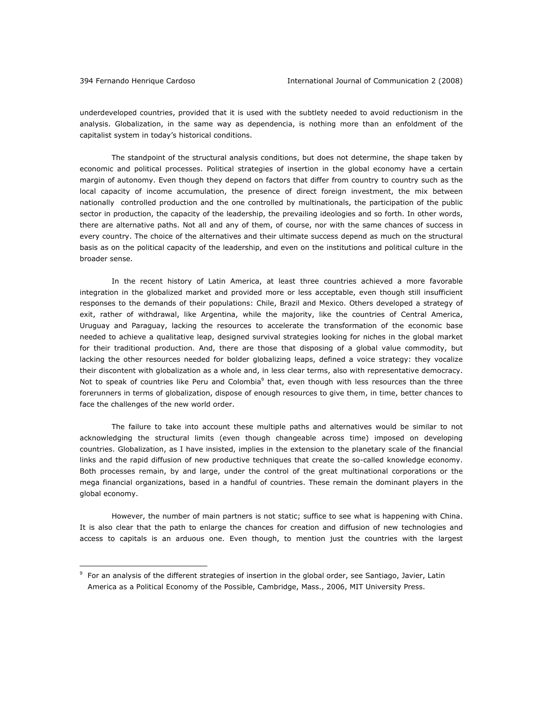underdeveloped countries, provided that it is used with the subtlety needed to avoid reductionism in the analysis. Globalization, in the same way as *dependencia*, is nothing more than an enfoldment of the capitalist system in today's historical conditions.

The standpoint of the structural analysis conditions, but does not determine, the shape taken by economic and political processes. Political strategies of insertion in the global economy have a certain margin of autonomy. Even though they depend on factors that differ from country to country such as the local capacity of income accumulation, the presence of direct foreign investment, the mix between nationally controlled production and the one controlled by multinationals, the participation of the public sector in production, the capacity of the leadership, the prevailing ideologies and so forth. In other words, there are alternative paths. Not all and any of them, of course, nor with the same chances of success in every country. The choice of the alternatives and their ultimate success depend as much on the structural basis as on the political capacity of the leadership, and even on the institutions and political culture in the broader sense.

In the recent history of Latin America, at least three countries achieved a more favorable integration in the globalized market and provided more or less acceptable, even though still insufficient responses to the demands of their populations: Chile, Brazil and Mexico. Others developed a strategy of *exit*, rather of withdrawal, like Argentina, while the majority, like the countries of Central America, Uruguay and Paraguay, lacking the resources to accelerate the transformation of the economic base needed to achieve a qualitative leap, designed survival strategies looking for niches in the global market for their traditional production. And, there are those that disposing of a global value commodity, but lacking the other resources needed for bolder globalizing leaps, defined a *voice* strategy: they vocalize their discontent with globalization as a whole and, in less clear terms, also with representative democracy. Not to speak of countries like Peru and Colombia<sup>9</sup> that, even though with less resources than the three forerunners in terms of globalization, dispose of enough resources to give them, in time, better chances to face the challenges of the new world order.

The failure to take into account these multiple paths and alternatives would be similar to not acknowledging the structural limits (even though changeable across time) imposed on developing countries. Globalization, as I have insisted, implies in the extension to the planetary scale of the financial links and the rapid diffusion of new productive techniques that create the so-called knowledge economy. Both processes remain, by and large, under the control of the great multinational corporations or the mega financial organizations, based in a handful of countries. These remain the dominant players in the global economy.

However, the number of main partners is not static; suffice to see what is happening with China. It is also clear that the path to enlarge the chances for creation and diffusion of new technologies and access to capitals is an arduous one. Even though, to mention just the countries with the largest

<sup>9</sup> For an analysis of the different strategies of insertion in the global order, see Santiago, Javier, *Latin America as a Political Economy of the Possible*, Cambridge, Mass., 2006, MIT University Press.